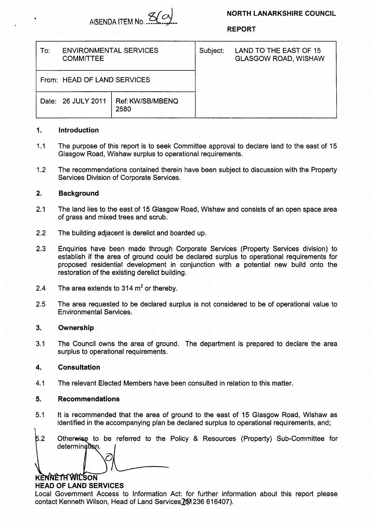

**REPORT** 

| To:                         | <b>ENVIRONMENTAL SERVICES</b><br><b>COMMITTEE</b> |                          | Subject: | LAND TO THE EAST OF 15<br><b>GLASGOW ROAD, WISHAW</b> |  |
|-----------------------------|---------------------------------------------------|--------------------------|----------|-------------------------------------------------------|--|
| From: HEAD OF LAND SERVICES |                                                   |                          |          |                                                       |  |
|                             | Date: 26 JULY 2011                                | Ref: KW/SB/MBENQ<br>2580 |          |                                                       |  |

### **1. Introduction**

- $1.1$ The purpose of this report is to seek Committee approval to declare land to the east of 15 Glasgow Road, Wishaw surplus to operational requirements.
- 1.2 The recommendations contained therein have been subject to discussion with the Property Services Division of Corporate Services.

### **2. Background**

- 2.1 The land lies to the east of 15 Glasgow Road, Wishaw and consists of an open space area of grass and mixed trees and scrub.
- 2.2 The building adjacent is derelict and boarded up.
- 2.3 Enquiries have been made through Corporate Services (Property Services division) to establish if the area of ground could be declared surplus to operational requirements for proposed residential development in conjunction with a potential new build onto the restoration of the existing derelict building.
- 2.4 The area extends to 314  $m<sup>2</sup>$  or thereby.
- 2.5 The area requested to be declared surplus is not considered to be of Operational value to Environmental Services.

#### **3. Ownership**

3.1 The Council owns the area of ground. The department is prepared to declare the area surplus to operational requirements.

# **4. Consultation**

4.1 The relevant Elected Members have been consulted in relation to this matter.

# **5. Recommendations**

- 5.1 It is recommended that the area of ground to the east of 15 Glasgow Road, Wishaw as identified in the accompanying plan be declared surplus to operational requirements, and;
- $5.2$ Otherwise to be referred to the Policy & Resources (Property) Sub-Committee for determination. I

# **KENNETH WILSON**

# **HEAD OF LAND SERVICES**

Local Government Access to Information Act: for further information about this report please contact Kenneth Wilson, Head of Land Services 201236 616407).